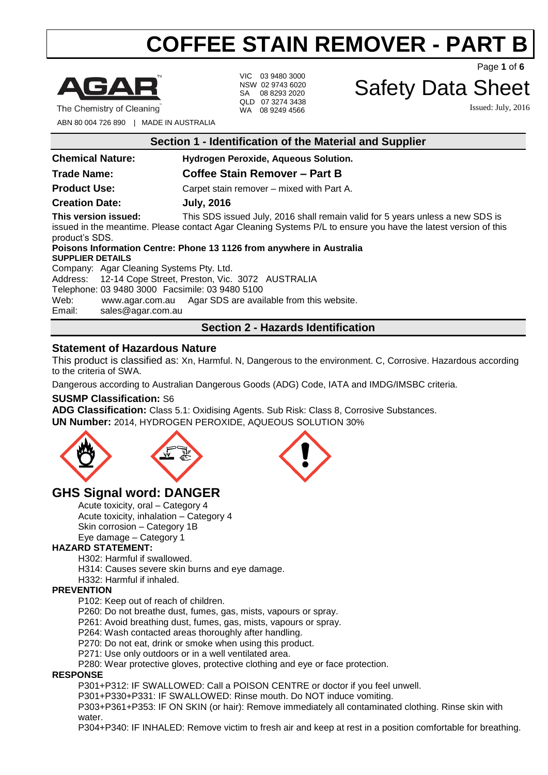

VIC 03 9480 3000 NSW 02 9743 6020 SA 08 8293 2020 QLD 07 3274 3438 WA 08 9249 4566

Page **1** of **6**

### Safety Data Sheet

Issued: July, 2016

ABN 80 004 726 890 | MADE IN AUSTRALIA

**Section 1 - Identification of the Material and Supplier**

**Chemical Nature: Hydrogen Peroxide, Aqueous Solution.**

### **Trade Name: Coffee Stain Remover – Part B**

**Product Use:** Carpet stain remover – mixed with Part A.

**Creation Date: July, 2016**

**This version issued:** This SDS issued July, 2016 shall remain valid for 5 years unless a new SDS is issued in the meantime. Please contact Agar Cleaning Systems P/L to ensure you have the latest version of this product's SDS.

**Poisons Information Centre: Phone 13 1126 from anywhere in Australia SUPPLIER DETAILS** Company: Agar Cleaning Systems Pty. Ltd.

Address: 12-14 Cope Street, Preston, Vic. 3072 AUSTRALIA

Telephone: 03 9480 3000 Facsimile: 03 9480 5100

Web: [www.agar.com.au](http://www.agar.com.au/) Agar SDS are available from this website.<br>Email: sales@agar.com.au

[sales@agar.com.au](mailto:sales@agar.com.au)

### **Section 2 - Hazards Identification**

### **Statement of Hazardous Nature**

This product is classified as: Xn, Harmful. N, Dangerous to the environment. C, Corrosive. Hazardous according to the criteria of SWA.

Dangerous according to Australian Dangerous Goods (ADG) Code, IATA and IMDG/IMSBC criteria.

#### **SUSMP Classification:** S6

**ADG Classification:** Class 5.1: Oxidising Agents. Sub Risk: Class 8, Corrosive Substances. **UN Number:** 2014, HYDROGEN PEROXIDE, AQUEOUS SOLUTION 30%



### **GHS Signal word: DANGER**

Acute toxicity, oral – Category 4 Acute toxicity, inhalation – Category 4 Skin corrosion – Category 1B Eye damage – Category 1

#### **HAZARD STATEMENT:**

H302: Harmful if swallowed.

H314: Causes severe skin burns and eye damage.

H332: Harmful if inhaled.

#### **PREVENTION**

P102: Keep out of reach of children.

P260: Do not breathe dust, fumes, gas, mists, vapours or spray.

P261: Avoid breathing dust, fumes, gas, mists, vapours or spray.

P264: Wash contacted areas thoroughly after handling.

P270: Do not eat, drink or smoke when using this product.

P271: Use only outdoors or in a well ventilated area.

P280: Wear protective gloves, protective clothing and eye or face protection.

#### **RESPONSE**

P301+P312: IF SWALLOWED: Call a POISON CENTRE or doctor if you feel unwell.

P301+P330+P331: IF SWALLOWED: Rinse mouth. Do NOT induce vomiting.

P303+P361+P353: IF ON SKIN (or hair): Remove immediately all contaminated clothing. Rinse skin with water.

P304+P340: IF INHALED: Remove victim to fresh air and keep at rest in a position comfortable for breathing.

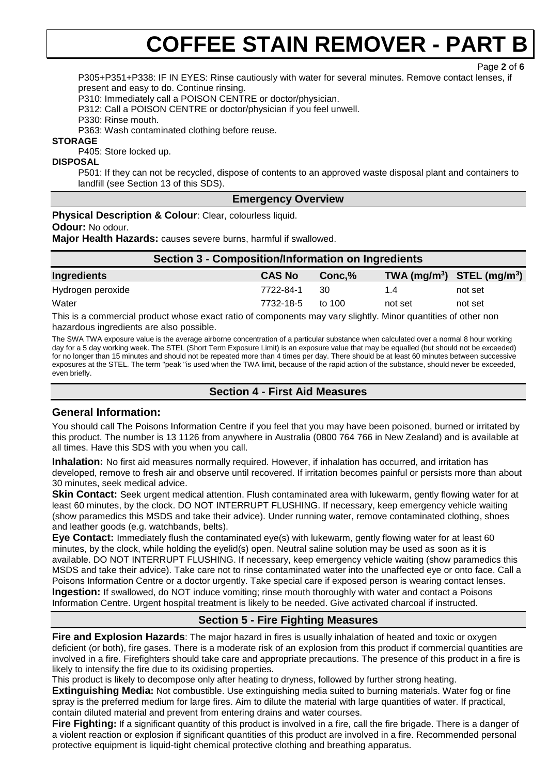Page **2** of **6**

P305+P351+P338: IF IN EYES: Rinse cautiously with water for several minutes. Remove contact lenses, if present and easy to do. Continue rinsing.

P310: Immediately call a POISON CENTRE or doctor/physician.

P312: Call a POISON CENTRE or doctor/physician if you feel unwell.

P330: Rinse mouth.

P363: Wash contaminated clothing before reuse.

**STORAGE**

P405: Store locked up.

**DISPOSAL**

P501: If they can not be recycled, dispose of contents to an approved waste disposal plant and containers to landfill (see Section 13 of this SDS).

#### **Emergency Overview**

**Physical Description & Colour**: Clear, colourless liquid.

**Odour:** No odour.

**Major Health Hazards:** causes severe burns, harmful if swallowed.

| Section 3 - Composition/Information on Ingredients |               |          |         |                                |
|----------------------------------------------------|---------------|----------|---------|--------------------------------|
| Ingredients                                        | <b>CAS No</b> | Conc.%   |         | TWA $(mg/m^3)$ STEL $(mg/m^3)$ |
| Hydrogen peroxide                                  | 7722-84-1     | 30       | 1.4     | not set                        |
| Water                                              | 7732-18-5     | to $100$ | not set | not set                        |

This is a commercial product whose exact ratio of components may vary slightly. Minor quantities of other non hazardous ingredients are also possible.

The SWA TWA exposure value is the average airborne concentration of a particular substance when calculated over a normal 8 hour working day for a 5 day working week. The STEL (Short Term Exposure Limit) is an exposure value that may be equalled (but should not be exceeded) for no longer than 15 minutes and should not be repeated more than 4 times per day. There should be at least 60 minutes between successive exposures at the STEL. The term "peak "is used when the TWA limit, because of the rapid action of the substance, should never be exceeded, even briefly.

#### **Section 4 - First Aid Measures**

#### **General Information:**

You should call The Poisons Information Centre if you feel that you may have been poisoned, burned or irritated by this product. The number is 13 1126 from anywhere in Australia (0800 764 766 in New Zealand) and is available at all times. Have this SDS with you when you call.

**Inhalation:** No first aid measures normally required. However, if inhalation has occurred, and irritation has developed, remove to fresh air and observe until recovered. If irritation becomes painful or persists more than about 30 minutes, seek medical advice.

**Skin Contact:** Seek urgent medical attention. Flush contaminated area with lukewarm, gently flowing water for at least 60 minutes, by the clock. DO NOT INTERRUPT FLUSHING. If necessary, keep emergency vehicle waiting (show paramedics this MSDS and take their advice). Under running water, remove contaminated clothing, shoes and leather goods (e.g. watchbands, belts).

**Eye Contact:** Immediately flush the contaminated eye(s) with lukewarm, gently flowing water for at least 60 minutes, by the clock, while holding the eyelid(s) open. Neutral saline solution may be used as soon as it is available. DO NOT INTERRUPT FLUSHING. If necessary, keep emergency vehicle waiting (show paramedics this MSDS and take their advice). Take care not to rinse contaminated water into the unaffected eye or onto face. Call a Poisons Information Centre or a doctor urgently. Take special care if exposed person is wearing contact lenses. **Ingestion:** If swallowed, do NOT induce vomiting; rinse mouth thoroughly with water and contact a Poisons Information Centre. Urgent hospital treatment is likely to be needed. Give activated charcoal if instructed.

### **Section 5 - Fire Fighting Measures**

**Fire and Explosion Hazards**: The major hazard in fires is usually inhalation of heated and toxic or oxygen deficient (or both), fire gases. There is a moderate risk of an explosion from this product if commercial quantities are involved in a fire. Firefighters should take care and appropriate precautions. The presence of this product in a fire is likely to intensify the fire due to its oxidising properties.

This product is likely to decompose only after heating to dryness, followed by further strong heating. **Extinguishing Media:** Not combustible. Use extinguishing media suited to burning materials. Water fog or fine spray is the preferred medium for large fires. Aim to dilute the material with large quantities of water. If practical, contain diluted material and prevent from entering drains and water courses.

**Fire Fighting:** If a significant quantity of this product is involved in a fire, call the fire brigade. There is a danger of a violent reaction or explosion if significant quantities of this product are involved in a fire. Recommended personal protective equipment is liquid-tight chemical protective clothing and breathing apparatus.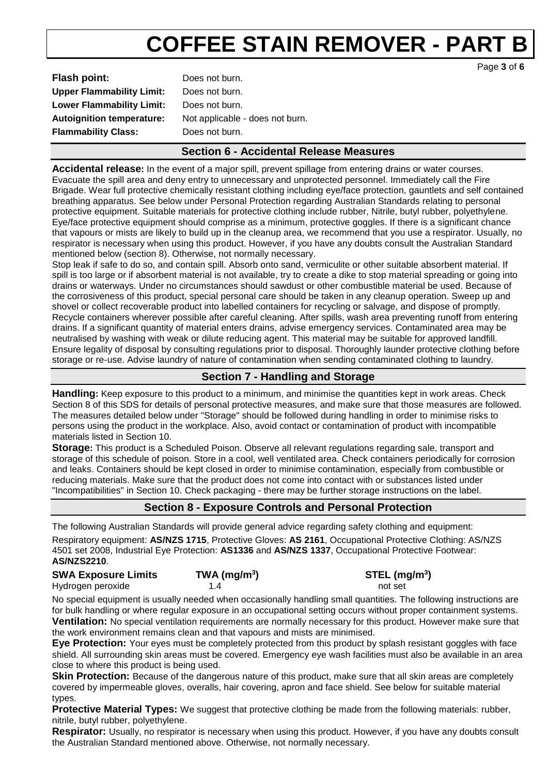| <b>Flash point:</b>              | Does not burn.                  |
|----------------------------------|---------------------------------|
| <b>Upper Flammability Limit:</b> | Does not burn.                  |
| <b>Lower Flammability Limit:</b> | Does not burn.                  |
| <b>Autoignition temperature:</b> | Not applicable - does not burn. |
| <b>Flammability Class:</b>       | Does not burn.                  |
|                                  |                                 |

### **Section 6 - Accidental Release Measures**

**Accidental release:** In the event of a major spill, prevent spillage from entering drains or water courses. Evacuate the spill area and deny entry to unnecessary and unprotected personnel. Immediately call the Fire Brigade. Wear full protective chemically resistant clothing including eye/face protection, gauntlets and self contained breathing apparatus. See below under Personal Protection regarding Australian Standards relating to personal protective equipment. Suitable materials for protective clothing include rubber, Nitrile, butyl rubber, polyethylene. Eye/face protective equipment should comprise as a minimum, protective goggles. If there is a significant chance that vapours or mists are likely to build up in the cleanup area, we recommend that you use a respirator. Usually, no respirator is necessary when using this product. However, if you have any doubts consult the Australian Standard mentioned below (section 8). Otherwise, not normally necessary.

Stop leak if safe to do so, and contain spill. Absorb onto sand, vermiculite or other suitable absorbent material. If spill is too large or if absorbent material is not available, try to create a dike to stop material spreading or going into drains or waterways. Under no circumstances should sawdust or other combustible material be used. Because of the corrosiveness of this product, special personal care should be taken in any cleanup operation. Sweep up and shovel or collect recoverable product into labelled containers for recycling or salvage, and dispose of promptly. Recycle containers wherever possible after careful cleaning. After spills, wash area preventing runoff from entering drains. If a significant quantity of material enters drains, advise emergency services. Contaminated area may be neutralised by washing with weak or dilute reducing agent. This material may be suitable for approved landfill. Ensure legality of disposal by consulting regulations prior to disposal. Thoroughly launder protective clothing before storage or re-use. Advise laundry of nature of contamination when sending contaminated clothing to laundry.

### **Section 7 - Handling and Storage**

**Handling:** Keep exposure to this product to a minimum, and minimise the quantities kept in work areas. Check Section 8 of this SDS for details of personal protective measures, and make sure that those measures are followed. The measures detailed below under "Storage" should be followed during handling in order to minimise risks to persons using the product in the workplace. Also, avoid contact or contamination of product with incompatible materials listed in Section 10.

**Storage:** This product is a Scheduled Poison. Observe all relevant regulations regarding sale, transport and storage of this schedule of poison. Store in a cool, well ventilated area. Check containers periodically for corrosion and leaks. Containers should be kept closed in order to minimise contamination, especially from combustible or reducing materials. Make sure that the product does not come into contact with or substances listed under "Incompatibilities" in Section 10. Check packaging - there may be further storage instructions on the label.

### **Section 8 - Exposure Controls and Personal Protection**

The following Australian Standards will provide general advice regarding safety clothing and equipment:

Respiratory equipment: **AS/NZS 1715**, Protective Gloves: **AS 2161**, Occupational Protective Clothing: AS/NZS 4501 set 2008, Industrial Eye Protection: **AS1336** and **AS/NZS 1337**, Occupational Protective Footwear: **AS/NZS2210**.

| <b>SWA Exposure Limits</b> | TWA (mg/m $3)$ | $STEL$ (mg/m <sup>3</sup> ) |
|----------------------------|----------------|-----------------------------|
| Hydrogen peroxide          |                | not set                     |

No special equipment is usually needed when occasionally handling small quantities. The following instructions are for bulk handling or where regular exposure in an occupational setting occurs without proper containment systems. **Ventilation:** No special ventilation requirements are normally necessary for this product. However make sure that the work environment remains clean and that vapours and mists are minimised.

**Eye Protection:** Your eyes must be completely protected from this product by splash resistant goggles with face shield. All surrounding skin areas must be covered. Emergency eye wash facilities must also be available in an area close to where this product is being used.

**Skin Protection:** Because of the dangerous nature of this product, make sure that all skin areas are completely covered by impermeable gloves, overalls, hair covering, apron and face shield. See below for suitable material types.

**Protective Material Types:** We suggest that protective clothing be made from the following materials: rubber, nitrile, butyl rubber, polyethylene.

**Respirator:** Usually, no respirator is necessary when using this product. However, if you have any doubts consult the Australian Standard mentioned above. Otherwise, not normally necessary.

Page **3** of **6**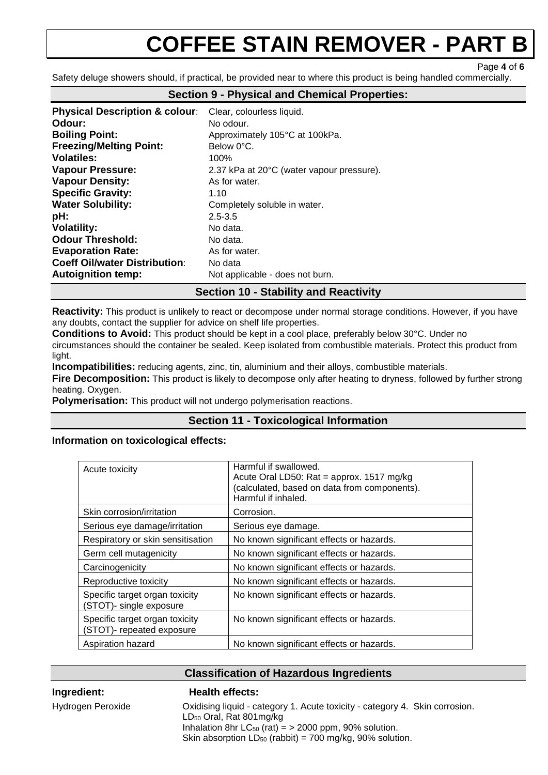Page **4** of **6**

Safety deluge showers should, if practical, be provided near to where this product is being handled commercially.

| <b>Physical Description &amp; colour:</b> | Clear, colourless liquid.                 |
|-------------------------------------------|-------------------------------------------|
| Odour:                                    | No odour.                                 |
| <b>Boiling Point:</b>                     | Approximately 105°C at 100kPa.            |
| <b>Freezing/Melting Point:</b>            | Below 0°C.                                |
| <b>Volatiles:</b>                         | 100%                                      |
| <b>Vapour Pressure:</b>                   | 2.37 kPa at 20°C (water vapour pressure). |
| <b>Vapour Density:</b>                    | As for water.                             |
| <b>Specific Gravity:</b>                  | 1.10                                      |
| <b>Water Solubility:</b>                  | Completely soluble in water.              |
| pH:                                       | $2.5 - 3.5$                               |
| <b>Volatility:</b>                        | No data.                                  |
| <b>Odour Threshold:</b>                   | No data.                                  |
| <b>Evaporation Rate:</b>                  | As for water.                             |
| <b>Coeff Oil/water Distribution:</b>      | No data                                   |
| <b>Autoignition temp:</b>                 | Not applicable - does not burn.           |

#### **Section 9 - Physical and Chemical Properties:**

#### **Section 10 - Stability and Reactivity**

**Reactivity:** This product is unlikely to react or decompose under normal storage conditions. However, if you have any doubts, contact the supplier for advice on shelf life properties.

**Conditions to Avoid:** This product should be kept in a cool place, preferably below 30°C. Under no

circumstances should the container be sealed. Keep isolated from combustible materials. Protect this product from light.

**Incompatibilities:** reducing agents, zinc, tin, aluminium and their alloys, combustible materials.

**Fire Decomposition:** This product is likely to decompose only after heating to dryness, followed by further strong heating. Oxygen.

**Polymerisation:** This product will not undergo polymerisation reactions.

#### **Section 11 - Toxicological Information**

#### **Information on toxicological effects:**

| Acute toxicity                                              | Harmful if swallowed.<br>Acute Oral LD50: Rat = approx. 1517 mg/kg<br>(calculated, based on data from components).<br>Harmful if inhaled. |
|-------------------------------------------------------------|-------------------------------------------------------------------------------------------------------------------------------------------|
| Skin corrosion/irritation                                   | Corrosion.                                                                                                                                |
| Serious eye damage/irritation                               | Serious eye damage.                                                                                                                       |
| Respiratory or skin sensitisation                           | No known significant effects or hazards.                                                                                                  |
| Germ cell mutagenicity                                      | No known significant effects or hazards.                                                                                                  |
| Carcinogenicity                                             | No known significant effects or hazards.                                                                                                  |
| Reproductive toxicity                                       | No known significant effects or hazards.                                                                                                  |
| Specific target organ toxicity<br>(STOT)- single exposure   | No known significant effects or hazards.                                                                                                  |
| Specific target organ toxicity<br>(STOT)- repeated exposure | No known significant effects or hazards.                                                                                                  |
| Aspiration hazard                                           | No known significant effects or hazards.                                                                                                  |

#### **Classification of Hazardous Ingredients**

#### **Ingredient: Health effects:**

#### Hydrogen Peroxide Oxidising liquid - category 1. Acute toxicity - category 4. Skin corrosion. LD<sup>50</sup> Oral, Rat 801mg/kg Inhalation 8hr  $LC_{50}$  (rat) = > 2000 ppm, 90% solution. Skin absorption  $LD_{50}$  (rabbit) = 700 mg/kg, 90% solution.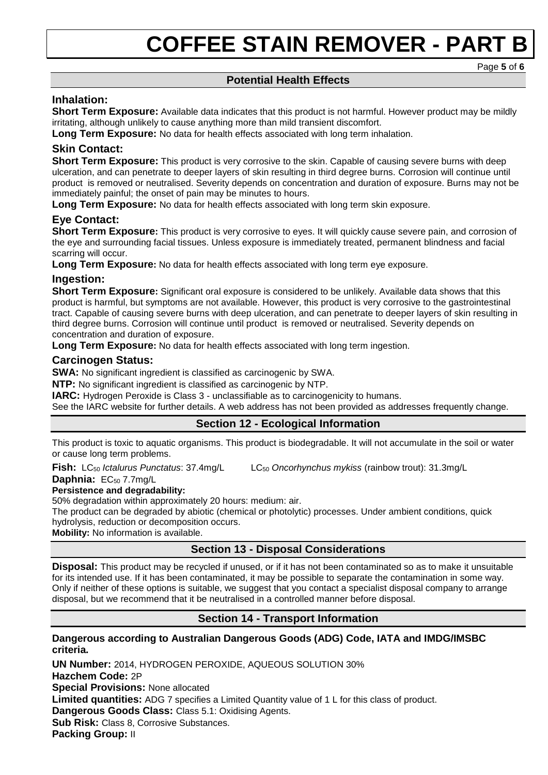Page **5** of **6**

### **Potential Health Effects**

#### **Inhalation:**

**Short Term Exposure:** Available data indicates that this product is not harmful. However product may be mildly irritating, although unlikely to cause anything more than mild transient discomfort.

**Long Term Exposure:** No data for health effects associated with long term inhalation.

#### **Skin Contact:**

**Short Term Exposure:** This product is very corrosive to the skin. Capable of causing severe burns with deep ulceration, and can penetrate to deeper layers of skin resulting in third degree burns. Corrosion will continue until product is removed or neutralised. Severity depends on concentration and duration of exposure. Burns may not be immediately painful; the onset of pain may be minutes to hours.

**Long Term Exposure:** No data for health effects associated with long term skin exposure.

### **Eye Contact:**

**Short Term Exposure:** This product is very corrosive to eyes. It will quickly cause severe pain, and corrosion of the eye and surrounding facial tissues. Unless exposure is immediately treated, permanent blindness and facial scarring will occur.

**Long Term Exposure:** No data for health effects associated with long term eye exposure.

#### **Ingestion:**

**Short Term Exposure:** Significant oral exposure is considered to be unlikely. Available data shows that this product is harmful, but symptoms are not available. However, this product is very corrosive to the gastrointestinal tract. Capable of causing severe burns with deep ulceration, and can penetrate to deeper layers of skin resulting in third degree burns. Corrosion will continue until product is removed or neutralised. Severity depends on concentration and duration of exposure.

**Long Term Exposure:** No data for health effects associated with long term ingestion.

#### **Carcinogen Status:**

**SWA:** No significant ingredient is classified as carcinogenic by SWA.

**NTP:** No significant ingredient is classified as carcinogenic by NTP.

**IARC:** Hydrogen Peroxide is Class 3 - unclassifiable as to carcinogenicity to humans.

See the IARC website for further details. A web address has not been provided as addresses frequently change.

### **Section 12 - Ecological Information**

This product is toxic to aquatic organisms. This product is biodegradable. It will not accumulate in the soil or water or cause long term problems.

**Fish:** LC<sub>50</sub> *Ictalurus Punctatus*: 37.4mg/L LC<sub>50</sub> Oncorhynchus mykiss (rainbow trout): 31.3mg/L

Daphnia: EC<sub>50</sub> 7.7mg/L

#### **Persistence and degradability:**

50% degradation within approximately 20 hours: medium: air.

The product can be degraded by abiotic (chemical or photolytic) processes. Under ambient conditions, quick hydrolysis, reduction or decomposition occurs.

**Mobility:** No information is available.

### **Section 13 - Disposal Considerations**

**Disposal:** This product may be recycled if unused, or if it has not been contaminated so as to make it unsuitable for its intended use. If it has been contaminated, it may be possible to separate the contamination in some way. Only if neither of these options is suitable, we suggest that you contact a specialist disposal company to arrange disposal, but we recommend that it be neutralised in a controlled manner before disposal.

### **Section 14 - Transport Information**

#### **Dangerous according to Australian Dangerous Goods (ADG) Code, IATA and IMDG/IMSBC criteria.**

**UN Number:** 2014, HYDROGEN PEROXIDE, AQUEOUS SOLUTION 30% **Hazchem Code:** 2P **Special Provisions:** None allocated **Limited quantities:** ADG 7 specifies a Limited Quantity value of 1 L for this class of product. **Dangerous Goods Class: Class 5.1: Oxidising Agents. Sub Risk:** Class 8, Corrosive Substances. **Packing Group:** II